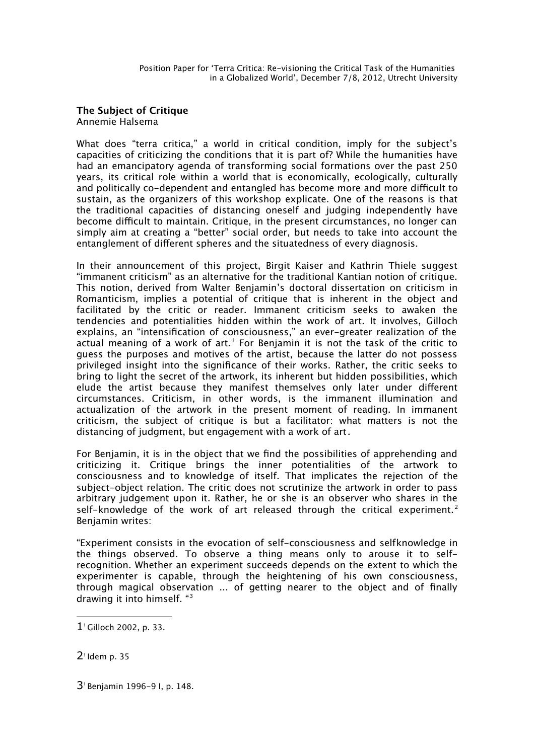**The Subject of Critique** Annemie Halsema

What does "terra critica," a world in critical condition, imply for the subject's capacities of criticizing the conditions that it is part of? While the humanities have had an emancipatory agenda of transforming social formations over the past 250 years, its critical role within a world that is economically, ecologically, culturally and politically co-dependent and entangled has become more and more difficult to sustain, as the organizers of this workshop explicate. One of the reasons is that the traditional capacities of distancing oneself and judging independently have become difficult to maintain. Critique, in the present circumstances, no longer can simply aim at creating a "better" social order, but needs to take into account the entanglement of different spheres and the situatedness of every diagnosis.

In their announcement of this project, Birgit Kaiser and Kathrin Thiele suggest "immanent criticism" as an alternative for the traditional Kantian notion of critique. This notion, derived from Walter Benjamin's doctoral dissertation on criticism in Romanticism, implies a potential of critique that is inherent in the object and facilitated by the critic or reader. Immanent criticism seeks to awaken the tendencies and potentialities hidden within the work of art. It involves, Gilloch explains, an "intensification of consciousness," an ever-greater realization of the actual meaning of a work of art. $^1$  $^1$  For Benjamin it is not the task of the critic to guess the purposes and motives of the artist, because the latter do not possess privileged insight into the significance of their works. Rather, the critic seeks to bring to light the secret of the artwork, its inherent but hidden possibilities, which elude the artist because they manifest themselves only later under different circumstances. Criticism, in other words, is the immanent illumination and actualization of the artwork in the present moment of reading. In immanent criticism, the subject of critique is but a facilitator: what matters is not the distancing of judgment, but engagement with a work of art.

For Benjamin, it is in the object that we find the possibilities of apprehending and criticizing it. Critique brings the inner potentialities of the artwork to consciousness and to knowledge of itself. That implicates the rejection of the subject-object relation. The critic does not scrutinize the artwork in order to pass arbitrary judgement upon it. Rather, he or she is an observer who shares in the self-knowledge of the work of art released through the critical experiment.<sup>[2](#page-0-1)</sup> Benjamin writes:

"Experiment consists in the evocation of self-consciousness and selfknowledge in the things observed. To observe a thing means only to arouse it to selfrecognition. Whether an experiment succeeds depends on the extent to which the experimenter is capable, through the heightening of his own consciousness, through magical observation ... of getting nearer to the object and of finally drawing it into himself. "[3](#page-0-2)

<span id="page-0-2"></span>3<sup>*I*</sup> Benjamin 1996-9 I, p. 148.

<span id="page-0-0"></span><sup>1</sup>- Gilloch 2002, p. 33.

<span id="page-0-1"></span> $2<sup>1</sup>$  Idem p. 35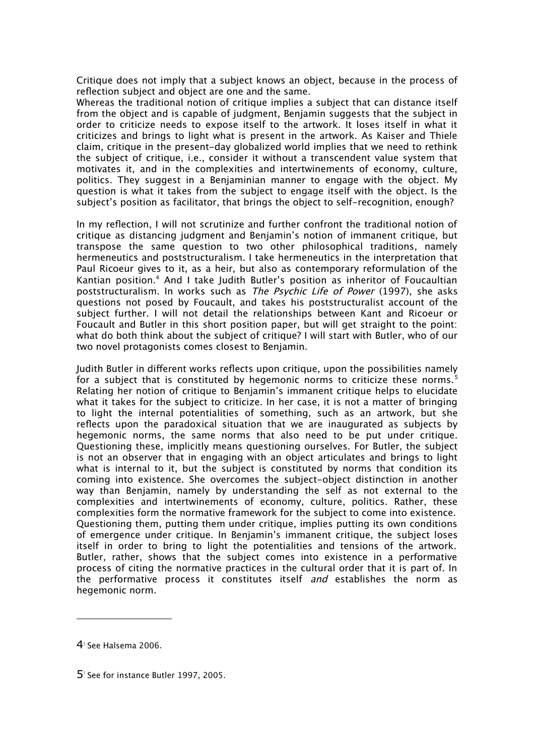Critique does not imply that a subject knows an object, because in the process of reflection subject and object are one and the same.

Whereas the traditional notion of critique implies a subject that can distance itself from the object and is capable of judgment, Benjamin suggests that the subject in order to criticize needs to expose itself to the artwork. It loses itself in what it criticizes and brings to light what is present in the artwork. As Kaiser and Thiele claim, critique in the present-day globalized world implies that we need to rethink the subject of critique, i.e., consider it without a transcendent value system that motivates it, and in the complexities and intertwinements of economy, culture, politics. They suggest in a Benjaminian manner to engage with the object. My question is what it takes from the subject to engage itself with the object. Is the subject's position as facilitator, that brings the object to self-recognition, enough?

In my reflection, I will not scrutinize and further confront the traditional notion of critique as distancing judgment and Benjamin's notion of immanent critique, but transpose the same question to two other philosophical traditions, namely hermeneutics and poststructuralism. I take hermeneutics in the interpretation that Paul Ricoeur gives to it, as a heir, but also as contemporary reformulation of the Kantian position.<sup>[4](#page-1-0)</sup> And I take Judith Butler's position as inheritor of Foucaultian poststructuralism. In works such as The Psychic Life of Power (1997), she asks questions not posed by Foucault, and takes his poststructuralist account of the subject further. I will not detail the relationships between Kant and Ricoeur or Foucault and Butler in this short position paper, but will get straight to the point: what do both think about the subject of critique? I will start with Butler, who of our two novel protagonists comes closest to Benjamin.

Judith Butler in different works reflects upon critique, upon the possibilities namely for a subject that is constituted by hegemonic norms to criticize these norms.<sup>[5](#page-1-1)</sup> Relating her notion of critique to Benjamin's immanent critique helps to elucidate what it takes for the subject to criticize. In her case, it is not a matter of bringing to light the internal potentialities of something, such as an artwork, but she reflects upon the paradoxical situation that we are inaugurated as subjects by hegemonic norms, the same norms that also need to be put under critique. Questioning these, implicitly means questioning ourselves. For Butler, the subject is not an observer that in engaging with an object articulates and brings to light what is internal to it, but the subject is constituted by norms that condition its coming into existence. She overcomes the subject-object distinction in another way than Benjamin, namely by understanding the self as not external to the complexities and intertwinements of economy, culture, politics. Rather, these complexities form the normative framework for the subject to come into existence. Questioning them, putting them under critique, implies putting its own conditions of emergence under critique. In Benjamin's immanent critique, the subject loses itself in order to bring to light the potentialities and tensions of the artwork. Butler, rather, shows that the subject comes into existence in a performative process of citing the normative practices in the cultural order that it is part of. In the performative process it constitutes itself and establishes the norm as hegemonic norm.

<span id="page-1-0"></span> $4$ ! See Halsema 2006.

<span id="page-1-1"></span>5<sup>*I*</sup> See for instance Butler 1997, 2005.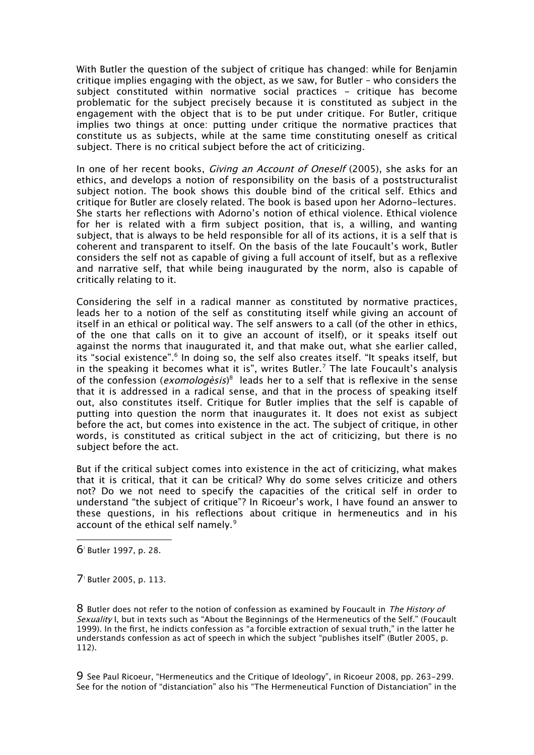With Butler the question of the subject of critique has changed: while for Benjamin critique implies engaging with the object, as we saw, for Butler – who considers the subject constituted within normative social practices - critique has become problematic for the subject precisely because it is constituted as subject in the engagement with the object that is to be put under critique. For Butler, critique implies two things at once: putting under critique the normative practices that constitute us as subjects, while at the same time constituting oneself as critical subject. There is no critical subject before the act of criticizing.

In one of her recent books, *Giving an Account of Oneself* (2005), she asks for an ethics, and develops a notion of responsibility on the basis of a poststructuralist subject notion. The book shows this double bind of the critical self. Ethics and critique for Butler are closely related. The book is based upon her Adorno-lectures. She starts her reflections with Adorno's notion of ethical violence. Ethical violence for her is related with a firm subject position, that is, a willing, and wanting subject, that is always to be held responsible for all of its actions, it is a self that is coherent and transparent to itself. On the basis of the late Foucault's work, Butler considers the self not as capable of giving a full account of itself, but as a reflexive and narrative self, that while being inaugurated by the norm, also is capable of critically relating to it.

Considering the self in a radical manner as constituted by normative practices, leads her to a notion of the self as constituting itself while giving an account of itself in an ethical or political way. The self answers to a call (of the other in ethics, of the one that calls on it to give an account of itself), or it speaks itself out against the norms that inaugurated it, and that make out, what she earlier called, its "social existence".<sup>[6](#page-2-0)</sup> In doing so, the self also creates itself. "It speaks itself, but in the speaking it becomes what it is", writes Butler.<sup>[7](#page-2-1)</sup> The late Foucault's analysis of the confession (*exomologèsis*)<sup>[8](#page-2-2)</sup> leads her to a self that is reflexive in the sense that it is addressed in a radical sense, and that in the process of speaking itself out, also constitutes itself. Critique for Butler implies that the self is capable of putting into question the norm that inaugurates it. It does not exist as subject before the act, but comes into existence in the act. The subject of critique, in other words, is constituted as critical subject in the act of criticizing, but there is no subject before the act.

But if the critical subject comes into existence in the act of criticizing, what makes that it is critical, that it can be critical? Why do some selves criticize and others not? Do we not need to specify the capacities of the critical self in order to understand "the subject of critique"? In Ricoeur's work, I have found an answer to these questions, in his reflections about critique in hermeneutics and in his account of the ethical self namely.<sup>[9](#page-2-3)</sup>

<span id="page-2-0"></span>6- Butler 1997, p. 28.

<span id="page-2-1"></span>7<sup>!</sup> Butler 2005, p. 113.

<span id="page-2-2"></span>8 Butler does not refer to the notion of confession as examined by Foucault in The History of Sexuality I, but in texts such as "About the Beginnings of the Hermeneutics of the Self." (Foucault 1999). In the first, he indicts confession as "a forcible extraction of sexual truth," in the latter he understands confession as act of speech in which the subject "publishes itself" (Butler 2005, p. 112).

<span id="page-2-3"></span>9 See Paul Ricoeur, "Hermeneutics and the Critique of Ideology", in Ricoeur 2008, pp. 263-299. See for the notion of "distanciation" also his "The Hermeneutical Function of Distanciation" in the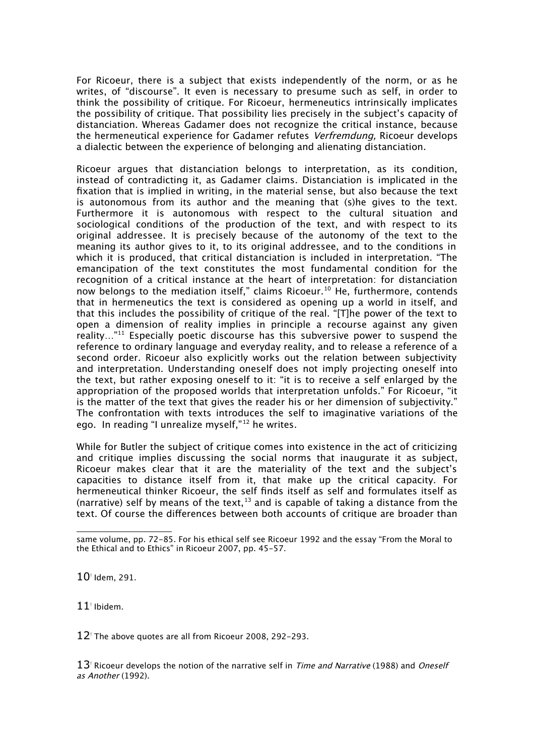For Ricoeur, there is a subject that exists independently of the norm, or as he writes, of "discourse". It even is necessary to presume such as self, in order to think the possibility of critique. For Ricoeur, hermeneutics intrinsically implicates the possibility of critique. That possibility lies precisely in the subject's capacity of distanciation. Whereas Gadamer does not recognize the critical instance, because the hermeneutical experience for Gadamer refutes *Verfremdung*. Ricoeur develops a dialectic between the experience of belonging and alienating distanciation.

Ricoeur argues that distanciation belongs to interpretation, as its condition, instead of contradicting it, as Gadamer claims. Distanciation is implicated in the fixation that is implied in writing, in the material sense, but also because the text is autonomous from its author and the meaning that (s)he gives to the text. Furthermore it is autonomous with respect to the cultural situation and sociological conditions of the production of the text, and with respect to its original addressee. It is precisely because of the autonomy of the text to the meaning its author gives to it, to its original addressee, and to the conditions in which it is produced, that critical distanciation is included in interpretation. "The emancipation of the text constitutes the most fundamental condition for the recognition of a critical instance at the heart of interpretation: for distanciation now belongs to the mediation itself," claims Ricoeur.<sup>[10](#page-3-0)</sup> He, furthermore, contends that in hermeneutics the text is considered as opening up a world in itself, and that this includes the possibility of critique of the real. "[T]he power of the text to open a dimension of reality implies in principle a recourse against any given reality..."<sup>[11](#page-3-1)</sup> Especially poetic discourse has this subversive power to suspend the reference to ordinary language and everyday reality, and to release a reference of a second order. Ricoeur also explicitly works out the relation between subjectivity and interpretation. Understanding oneself does not imply projecting oneself into the text, but rather exposing oneself to it: "it is to receive a self enlarged by the appropriation of the proposed worlds that interpretation unfolds." For Ricoeur, "it is the matter of the text that gives the reader his or her dimension of subjectivity." The confrontation with texts introduces the self to imaginative variations of the ego. In reading "I unrealize myself,"[12](#page-3-2) he writes.

While for Butler the subiect of critique comes into existence in the act of criticizing and critique implies discussing the social norms that inaugurate it as subject, Ricoeur makes clear that it are the materiality of the text and the subject's capacities to distance itself from it, that make up the critical capacity. For hermeneutical thinker Ricoeur, the self finds itself as self and formulates itself as (narrative) self by means of the text,  $13$  and is capable of taking a distance from the text. Of course the differences between both accounts of critique are broader than

<span id="page-3-0"></span> $10$ <sup>'</sup> Idem, 291.

<span id="page-3-1"></span> $11$ <sup> $\scriptstyle\pm$ </sup> Ibidem.

<span id="page-3-2"></span> $12$ <sup> $\scriptstyle\rm I$ </sup> The above quotes are all from Ricoeur 2008, 292-293.

<span id="page-3-3"></span> $13<sup>1</sup>$  Ricoeur develops the notion of the narrative self in *Time and Narrative* (1988) and *Oneself* as Another (1992).

same volume, pp. 72-85. For his ethical self see Ricoeur 1992 and the essay "From the Moral to the Ethical and to Ethics" in Ricoeur 2007, pp. 45-57.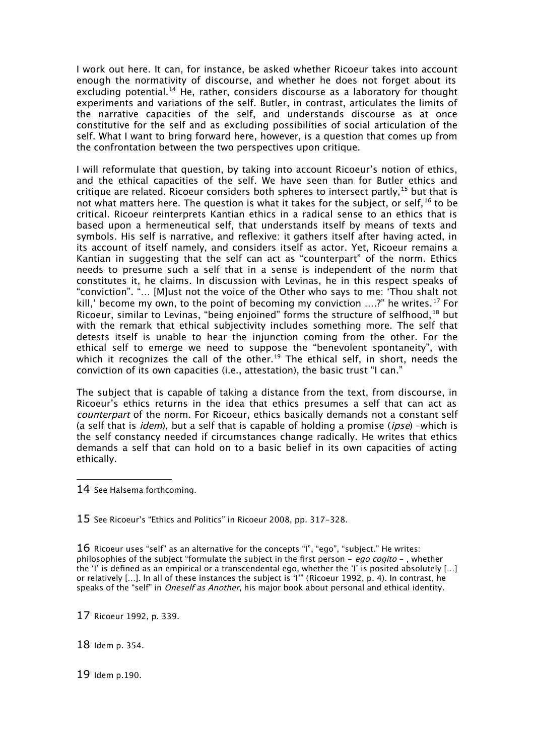I work out here. It can, for instance, be asked whether Ricoeur takes into account enough the normativity of discourse, and whether he does not forget about its excluding potential.<sup>[14](#page-4-0)</sup> He, rather, considers discourse as a laboratory for thought experiments and variations of the self. Butler, in contrast, articulates the limits of the narrative capacities of the self, and understands discourse as at once constitutive for the self and as excluding possibilities of social articulation of the self. What I want to bring forward here, however, is a question that comes up from the confrontation between the two perspectives upon critique.

I will reformulate that question, by taking into account Ricoeur's notion of ethics, and the ethical capacities of the self. We have seen than for Butler ethics and critique are related. Ricoeur considers both spheres to intersect partly,  $15$  but that is not what matters here. The question is what it takes for the subject, or self, <sup>[16](#page-4-2)</sup> to be critical. Ricoeur reinterprets Kantian ethics in a radical sense to an ethics that is based upon a hermeneutical self, that understands itself by means of texts and symbols. His self is narrative, and reflexive: it gathers itself after having acted, in its account of itself namely, and considers itself as actor. Yet, Ricoeur remains a Kantian in suggesting that the self can act as "counterpart" of the norm. Ethics needs to presume such a self that in a sense is independent of the norm that constitutes it, he claims. In discussion with Levinas, he in this respect speaks of "conviction". "… [M]ust not the voice of the Other who says to me: 'Thou shalt not kill,' become my own, to the point of becoming my conviction  $\ldots$ ?" he writes.<sup>[17](#page-4-3)</sup> For Ricoeur, similar to Levinas, "being enjoined" forms the structure of selfhood,  $^{18}$  $^{18}$  $^{18}$  but with the remark that ethical subjectivity includes something more. The self that detests itself is unable to hear the injunction coming from the other. For the ethical self to emerge we need to suppose the "benevolent spontaneity", with which it recognizes the call of the other.<sup>[19](#page-4-5)</sup> The ethical self, in short, needs the conviction of its own capacities (i.e., attestation), the basic trust "I can."

The subject that is capable of taking a distance from the text, from discourse, in Ricoeur's ethics returns in the idea that ethics presumes a self that can act as counterpart of the norm. For Ricoeur, ethics basically demands not a constant self (a self that is *idem*), but a self that is capable of holding a promise (*ipse*) –which is the self constancy needed if circumstances change radically. He writes that ethics demands a self that can hold on to a basic belief in its own capacities of acting ethically.

<span id="page-4-0"></span>14<sup>'</sup> See Halsema forthcoming.

<span id="page-4-1"></span>15 See Ricoeur's "Ethics and Politics" in Ricoeur 2008, pp. 317-328.

<span id="page-4-2"></span>16 Ricoeur uses "self" as an alternative for the concepts "I", "ego", "subject." He writes: philosophies of the subject "formulate the subject in the first person - ego cogito -, whether the 'I' is defined as an empirical or a transcendental ego, whether the 'I' is posited absolutely […] or relatively […]. In all of these instances the subject is 'I'" (Ricoeur 1992, p. 4). In contrast, he speaks of the "self" in *Oneself as Another*, his major book about personal and ethical identity.

<span id="page-4-3"></span>17<sup>!</sup> Ricoeur 1992, p. 339.

<span id="page-4-4"></span>18<sup>!</sup> Idem p. 354.

<span id="page-4-5"></span>19! Idem p.190.